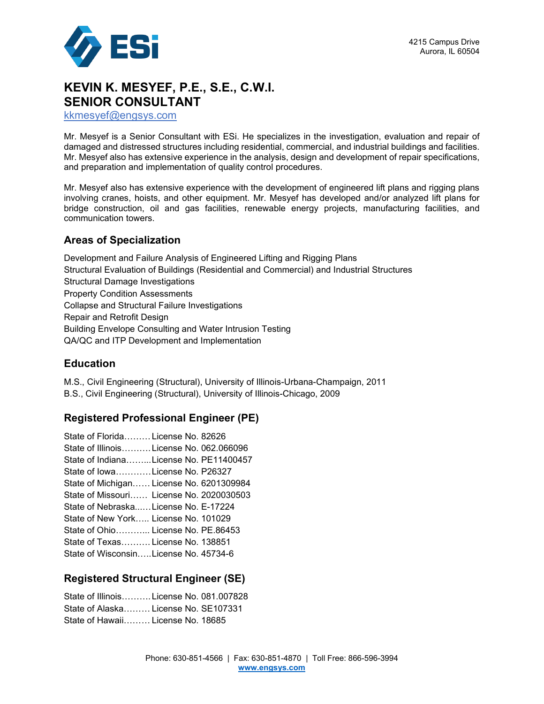

# **KEVIN K. MESYEF, P.E., S.E., C.W.I. SENIOR CONSULTANT**

kkmesyef@engsys.com

Mr. Mesyef is a Senior Consultant with ESi. He specializes in the investigation, evaluation and repair of damaged and distressed structures including residential, commercial, and industrial buildings and facilities. Mr. Mesyef also has extensive experience in the analysis, design and development of repair specifications, and preparation and implementation of quality control procedures.

Mr. Mesyef also has extensive experience with the development of engineered lift plans and rigging plans involving cranes, hoists, and other equipment. Mr. Mesyef has developed and/or analyzed lift plans for bridge construction, oil and gas facilities, renewable energy projects, manufacturing facilities, and communication towers.

### **Areas of Specialization**

Development and Failure Analysis of Engineered Lifting and Rigging Plans Structural Evaluation of Buildings (Residential and Commercial) and Industrial Structures Structural Damage Investigations Property Condition Assessments Collapse and Structural Failure Investigations Repair and Retrofit Design Building Envelope Consulting and Water Intrusion Testing QA/QC and ITP Development and Implementation

### **Education**

M.S., Civil Engineering (Structural), University of Illinois-Urbana-Champaign, 2011 B.S., Civil Engineering (Structural), University of Illinois-Chicago, 2009

### **Registered Professional Engineer (PE)**

| State of FloridaLicense No. 82626        |
|------------------------------------------|
| State of IllinoisLicense No. 062.066096  |
| State of IndianaLicense No. PE11400457   |
| State of IowaLicense No. P26327          |
| State of Michigan License No. 6201309984 |
| State of Missouri License No. 2020030503 |
| State of NebraskaLicense No. E-17224     |
| State of New York License No. 101029     |
| State of Ohio License No. PE.86453       |
| State of Texas License No. 138851        |
| State of WisconsinLicense No. 45734-6    |

### **Registered Structural Engineer (SE)**

State of Illinois……….License No. 081.007828 State of Alaska License No. SE107331 State of Hawaii……… License No. 18685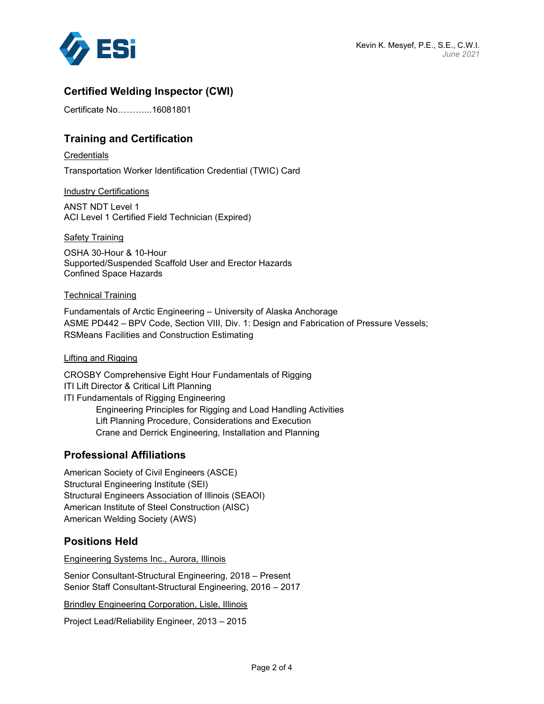

# **Certified Welding Inspector (CWI)**

Certificate No………...16081801

## **Training and Certification**

**Credentials** 

Transportation Worker Identification Credential (TWIC) Card

Industry Certifications

ANST NDT Level 1 ACI Level 1 Certified Field Technician (Expired)

Safety Training

OSHA 30-Hour & 10-Hour Supported/Suspended Scaffold User and Erector Hazards Confined Space Hazards

#### Technical Training

Fundamentals of Arctic Engineering – University of Alaska Anchorage ASME PD442 – BPV Code, Section VIII, Div. 1: Design and Fabrication of Pressure Vessels; RSMeans Facilities and Construction Estimating

#### Lifting and Rigging

CROSBY Comprehensive Eight Hour Fundamentals of Rigging ITI Lift Director & Critical Lift Planning ITI Fundamentals of Rigging Engineering Engineering Principles for Rigging and Load Handling Activities Lift Planning Procedure, Considerations and Execution Crane and Derrick Engineering, Installation and Planning

### **Professional Affiliations**

American Society of Civil Engineers (ASCE) Structural Engineering Institute (SEI) Structural Engineers Association of Illinois (SEAOI) American Institute of Steel Construction (AISC) American Welding Society (AWS)

### **Positions Held**

Engineering Systems Inc., Aurora, Illinois

Senior Consultant-Structural Engineering, 2018 – Present Senior Staff Consultant-Structural Engineering, 2016 – 2017

Brindley Engineering Corporation, Lisle, Illinois

Project Lead/Reliability Engineer, 2013 – 2015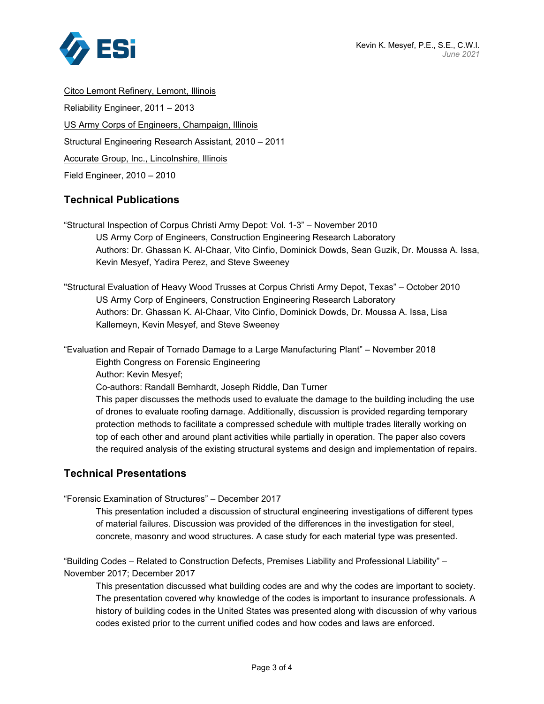

Citco Lemont Refinery, Lemont, Illinois Reliability Engineer, 2011 – 2013 US Army Corps of Engineers, Champaign, Illinois Structural Engineering Research Assistant, 2010 – 2011 Accurate Group, Inc., Lincolnshire, Illinois Field Engineer, 2010 – 2010

## **Technical Publications**

"Structural Inspection of Corpus Christi Army Depot: Vol. 1-3" – November 2010 US Army Corp of Engineers, Construction Engineering Research Laboratory Authors: Dr. Ghassan K. Al-Chaar, Vito Cinfio, Dominick Dowds, Sean Guzik, Dr. Moussa A. Issa, Kevin Mesyef, Yadira Perez, and Steve Sweeney

"Structural Evaluation of Heavy Wood Trusses at Corpus Christi Army Depot, Texas" – October 2010 US Army Corp of Engineers, Construction Engineering Research Laboratory Authors: Dr. Ghassan K. Al-Chaar, Vito Cinfio, Dominick Dowds, Dr. Moussa A. Issa, Lisa Kallemeyn, Kevin Mesyef, and Steve Sweeney

"Evaluation and Repair of Tornado Damage to a Large Manufacturing Plant" – November 2018

Eighth Congress on Forensic Engineering

Author: Kevin Mesyef;

Co-authors: Randall Bernhardt, Joseph Riddle, Dan Turner

This paper discusses the methods used to evaluate the damage to the building including the use of drones to evaluate roofing damage. Additionally, discussion is provided regarding temporary protection methods to facilitate a compressed schedule with multiple trades literally working on top of each other and around plant activities while partially in operation. The paper also covers the required analysis of the existing structural systems and design and implementation of repairs.

### **Technical Presentations**

"Forensic Examination of Structures" – December 2017

This presentation included a discussion of structural engineering investigations of different types of material failures. Discussion was provided of the differences in the investigation for steel, concrete, masonry and wood structures. A case study for each material type was presented.

"Building Codes – Related to Construction Defects, Premises Liability and Professional Liability" – November 2017; December 2017

This presentation discussed what building codes are and why the codes are important to society. The presentation covered why knowledge of the codes is important to insurance professionals. A history of building codes in the United States was presented along with discussion of why various codes existed prior to the current unified codes and how codes and laws are enforced.